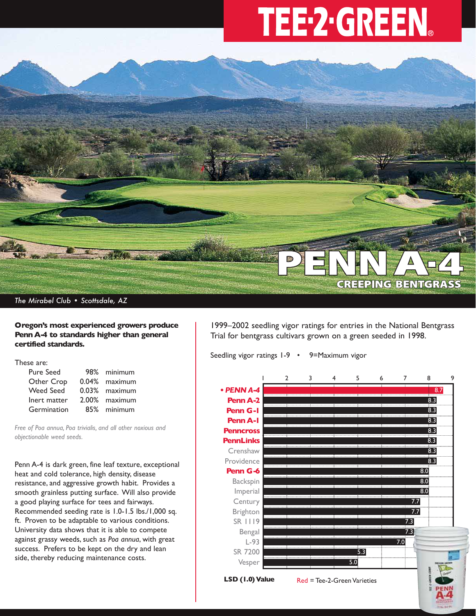# TEE-2-GREEN.



*The Mirabel Club • Scottsdale, AZ*

## **Oregon's most experienced growers produce Penn A-4 to standards higher than general certified standards.**

These are:

| Pure Seed        | 98% minimum   |
|------------------|---------------|
| Other Crop       | 0.04% maximum |
| <b>Weed Seed</b> | 0.03% maximum |
| Inert matter     | 2.00% maximum |
| Germination      | 85% minimum   |

*Free of Poa annua, Poa trivialis, and all other noxious and objectionable weed seeds.*

Penn A-4 is dark green, fine leaf texture, exceptional heat and cold tolerance, high density, disease resistance, and aggressive growth habit. Provides a smooth grainless putting surface. Will also provide a good playing surface for tees and fairways. Recommended seeding rate is 1.0-1.5 lbs./1,000 sq. ft. Proven to be adaptable to various conditions. University data shows that it is able to compete against grassy weeds, such as *Poa annua*, with great success. Prefers to be kept on the dry and lean side, thereby reducing maintenance costs.

1999–2002 seedling vigor ratings for entries in the National Bentgrass Trial for bentgrass cultivars grown on a green seeded in 1998.

Seedling vigor ratings 1-9 • 9=Maximum vigor